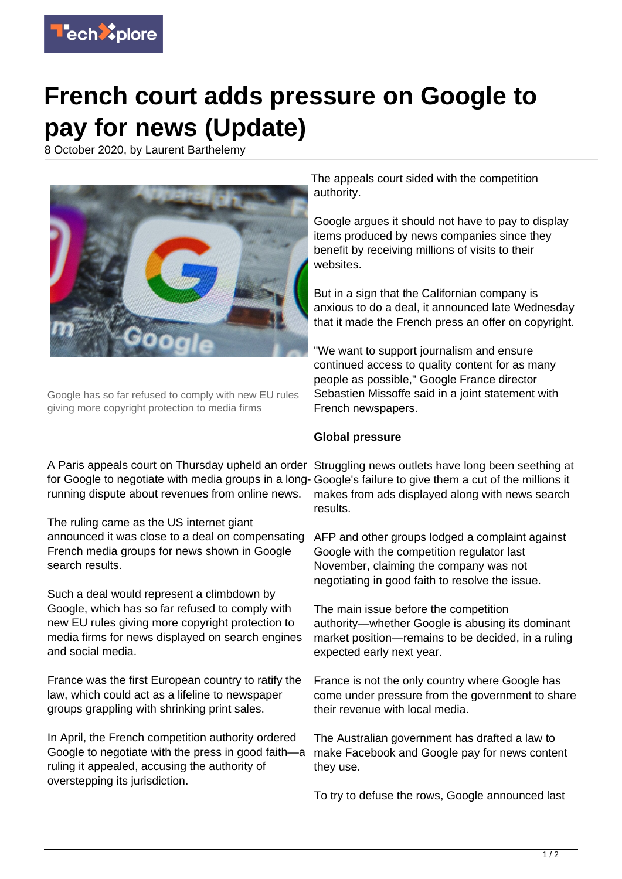

## **French court adds pressure on Google to pay for news (Update)**

8 October 2020, by Laurent Barthelemy



Google has so far refused to comply with new EU rules giving more copyright protection to media firms

A Paris appeals court on Thursday upheld an order Struggling news outlets have long been seething at for Google to negotiate with media groups in a long- Google's failure to give them a cut of the millions it running dispute about revenues from online news.

The ruling came as the US internet giant announced it was close to a deal on compensating AFP and other groups lodged a complaint against French media groups for news shown in Google search results.

Such a deal would represent a climbdown by Google, which has so far refused to comply with new EU rules giving more copyright protection to media firms for news displayed on search engines and social media.

France was the first European country to ratify the law, which could act as a lifeline to newspaper groups grappling with shrinking print sales.

In April, the French competition authority ordered Google to negotiate with the press in good faith—a ruling it appealed, accusing the authority of overstepping its jurisdiction.

The appeals court sided with the competition authority.

Google argues it should not have to pay to display items produced by news companies since they benefit by receiving millions of visits to their websites.

But in a sign that the Californian company is anxious to do a deal, it announced late Wednesday that it made the French press an offer on copyright.

"We want to support journalism and ensure continued access to quality content for as many people as possible," Google France director Sebastien Missoffe said in a joint statement with French newspapers.

## **Global pressure**

makes from ads displayed along with news search results.

Google with the competition regulator last November, claiming the company was not negotiating in good faith to resolve the issue.

The main issue before the competition authority—whether Google is abusing its dominant market position—remains to be decided, in a ruling expected early next year.

France is not the only country where Google has come under pressure from the government to share their revenue with local media.

The Australian government has drafted a law to make Facebook and Google pay for news content they use.

To try to defuse the rows, Google announced last